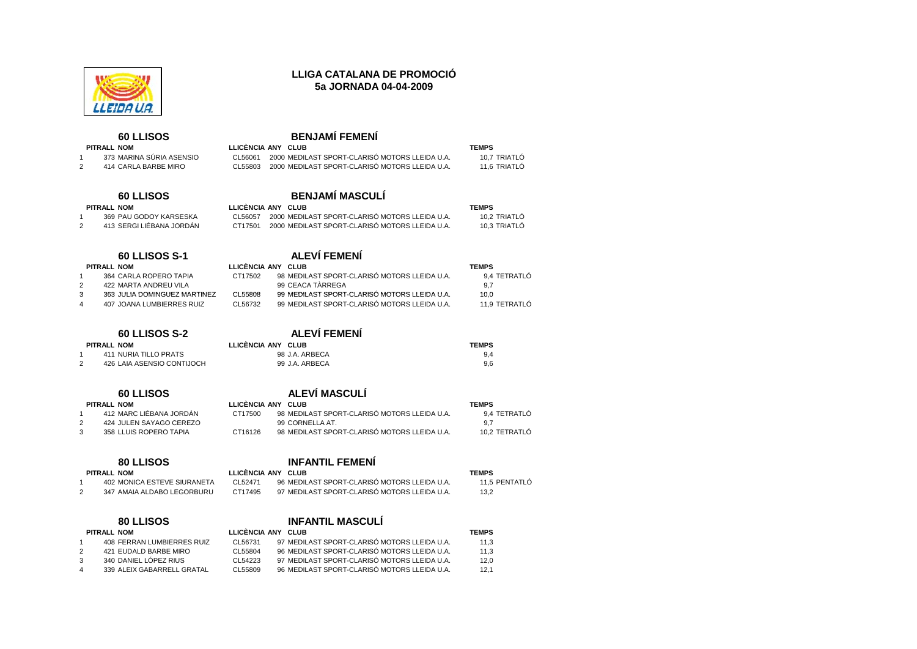

## **LLIGA CATALANA DE PROMOCIÓ5a JORNADA 04-04-2009**

CL56061 2000 MEDILAST SPORT-CLARISÓ MOTORS LLEIDA U.A. 10,7 TRIATLÓ

99 MEDILAST SPORT-CLARISÓ MOTORS LLEIDA U.A. 10.0

# **60 LLISOS BENJAMÍ FEMENÍ**

### **PITRALL NOM LLICÈNCIA ANY CLUB TEMPS**  1 373 MARINA SÚRIA ASENSIO

### <sup>2</sup> <sup>414</sup> CARLA BARBE MIRO CL55803 <sup>2000</sup> MEDILAST SPORT-CLARISÓ MOTORS LLEIDA U.A. 11,6 TRIATLÓ

# **60 LLISOS BENJAMÍ MASCULÍ**

| PITRALL NOM              |         | LLICÊNCIA ANY CLUB                                     | <b>TEMPS</b> |
|--------------------------|---------|--------------------------------------------------------|--------------|
| 369 PAU GODOY KARSESKA   |         | CL56057 2000 MEDILAST SPORT-CLARISO MOTORS LLEIDA U.A. | 10.2 TRIATLC |
| 413 SERGI LIÉBANA JORDÁN | CT17501 | 2000 MEDILAST SPORT-CLARISÓ MOTORS LLEIDA U.A.         | 10.3 TRIATLÓ |

## **60 LLISOS S-1 ALEVÍ FEMENÍ**

| PITRALL NOM |                        | LLICÈNCIA ANY CLUB |                                              | <b>TEMPS</b> |  |  |  |
|-------------|------------------------|--------------------|----------------------------------------------|--------------|--|--|--|
|             | 364 CARLA ROPERO TAPIA | CT17502            | 98 MEDILAST SPORT-CLARISÓ MOTORS LLEIDA U.A. | 9.4 TETRATLÓ |  |  |  |
|             |                        |                    |                                              |              |  |  |  |

- <sup>2</sup> <sup>422</sup> MARTA ANDREU VILA <sup>99</sup> CEACA TÀRREGA 9,7
- 3 363 JULIA DOMINGUEZ MARTINEZ CL55808 <sup>4</sup> <sup>407</sup> JOANA LUMBIERRES RUIZ CL56732 <sup>99</sup> MEDILAST SPORT-CLARISÓ MOTORS LLEIDA U.A. 11,9 TETRATLÓ

## $PITRAL$  **NOM**

# **60 LLISOS S-2 ALEVÍ FEMENÍ**

| PITRALL NOM                | LLICÊNCIA ANY CLUB | <b>TEMPS</b> |
|----------------------------|--------------------|--------------|
| 411 NURIA TILLO PRATS      | 98 J.A. ARBECA     |              |
| 426 LAIA ASENSIO CONTIJOCH | 99 J.A. ARBECA     | 9.6          |

| <b>60 LLISOS</b> | <b>ALEVI MASCULI</b> |
|------------------|----------------------|
|                  |                      |
|                  |                      |

### **PITRALL NOM LLICÈNCIA ANY CLUB TEMPS**

<sup>1</sup> <sup>412</sup> MARC LIÉBANA JORDÁN CT17500 <sup>98</sup> MEDILAST SPORT-CLARISÓ MOTORS LLEIDA U.A. 9,4 TETRATLÓ 2 424 JULEN SAYAGO CEREZO 99 CORNELLA AT. 9,7

### <sup>3</sup> <sup>358</sup> LLUIS ROPERO TAPIA CT16126 <sup>98</sup> MEDILAST SPORT-CLARISÓ MOTORS LLEIDA U.A. 10,2 TETRATLÓ

### **80 LLISOS INFANTIL FEMENÍ PITRALL NOM LLICÈNCIA ANY CLUB TEMPS**

### <sup>1</sup> <sup>402</sup> MONICA ESTEVE SIURANETA CL52471 <sup>96</sup> MEDILAST SPORT-CLARISÓ MOTORS LLEIDA U.A. 11,5 PENTATLÓ <sup>2</sup> <sup>347</sup> AMAIA ALDABO LEGORBURU CT17495 <sup>97</sup> MEDILAST SPORT-CLARISÓ MOTORS LLEIDA U.A. 13,2

## **80 LLISOS INFANTIL MASCULÍ**

### **PITRALL NOM LLICÈNCIA ANY CLUB TEMPS**  <sup>1</sup> <sup>408</sup> FERRAN LUMBIERRES RUIZ CL56731 <sup>97</sup> MEDILAST SPORT-CLARISÓ MOTORS LLEIDA U.A. 11,3 <sup>2</sup> <sup>421</sup> EUDALD BARBE MIRO CL55804 <sup>96</sup> MEDILAST SPORT-CLARISÓ MOTORS LLEIDA U.A. 11,3 3 340 DANIEL LÓPEZ RIUS CL54223 97 MEDILAST SPORT-CLARISÓ MOTORS LLEIDA U.A. 12,0 <sup>4</sup> <sup>339</sup> ALEIX GABARRELL GRATAL CL55809 <sup>96</sup> MEDILAST SPORT-CLARISÓ MOTORS LLEIDA U.A. 12,1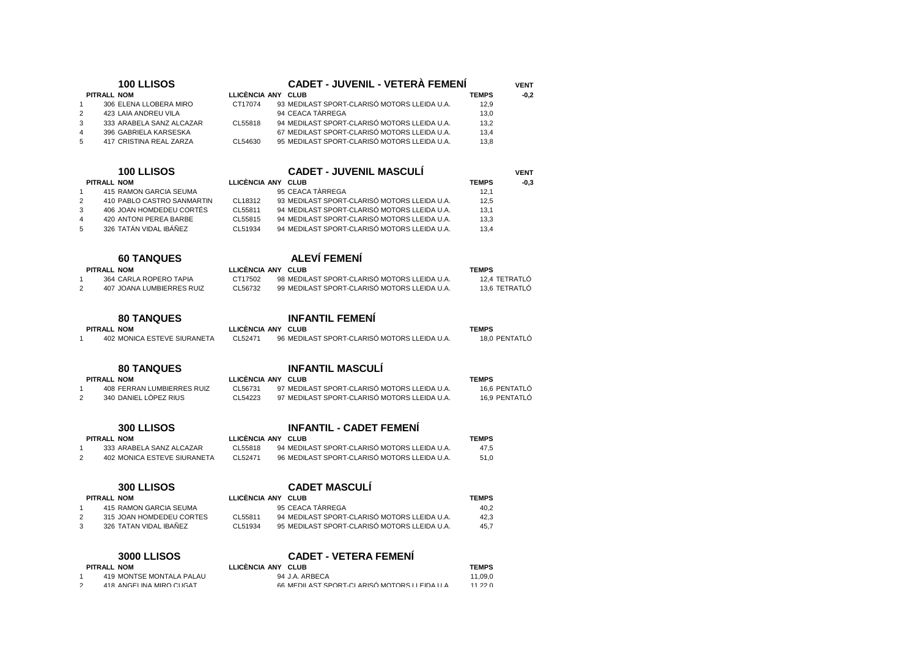| 100 LLISOS                                                                 |                           | <b>CADET - JUVENIL - VETERÀ FEMENÍ</b>                                                       | <b>VENT</b>                    |
|----------------------------------------------------------------------------|---------------------------|----------------------------------------------------------------------------------------------|--------------------------------|
| <b>PITRALL NOM</b>                                                         | LLICÈNCIA ANY CLUB        |                                                                                              | <b>TEMPS</b><br>$-0,2$         |
| 306 ELENA LLOBERA MIRO<br>1                                                | CT17074                   | 93 MEDILAST SPORT-CLARISÓ MOTORS LLEIDA U.A.                                                 | 12.9                           |
| $\overline{2}$<br>423 LAIA ANDREU VILA                                     |                           | 94 CEACA TÀRREGA                                                                             | 13,0                           |
| 3<br>333 ARABELA SANZ ALCAZAR                                              | CL55818                   | 94 MEDILAST SPORT-CLARISÓ MOTORS LLEIDA U.A.                                                 | 13,2                           |
| 4<br>396 GABRIELA KARSESKA<br>5<br>417 CRISTINA REAL ZARZA                 | CL54630                   | 67 MEDILAST SPORT-CLARISÓ MOTORS LLEIDA U.A.<br>95 MEDILAST SPORT-CLARISÓ MOTORS LLEIDA U.A. | 13,4<br>13.8                   |
|                                                                            |                           |                                                                                              |                                |
| <b>100 LLISOS</b>                                                          |                           | <b>CADET - JUVENIL MASCULI</b>                                                               | <b>VENT</b>                    |
| <b>PITRALL NOM</b>                                                         | LLICÈNCIA ANY CLUB        |                                                                                              | <b>TEMPS</b><br>$-0.3$         |
| 415 RAMON GARCIA SEUMA<br>$\mathbf{1}$                                     |                           | 95 CEACA TÀRREGA                                                                             | 12,1                           |
| 410 PABLO CASTRO SANMARTIN<br>2                                            | CL18312                   | 93 MEDILAST SPORT-CLARISÓ MOTORS LLEIDA U.A.                                                 | 12,5                           |
| 406 JOAN HOMDEDEU CORTÉS<br>3                                              | CL55811                   | 94 MEDILAST SPORT-CLARISÓ MOTORS LLEIDA U.A.                                                 | 13,1                           |
| 420 ANTONI PEREA BARBE<br>4                                                | CL55815                   | 94 MEDILAST SPORT-CLARISÓ MOTORS LLEIDA U.A.                                                 | 13,3                           |
| 326 TATÁN VIDAL IBÁÑEZ<br>5                                                | CL51934                   | 94 MEDILAST SPORT-CLARISÓ MOTORS LLEIDA U.A.                                                 | 13,4                           |
| <b>60 TANQUES</b>                                                          |                           | <b>ALEVÍ FEMENÍ</b>                                                                          |                                |
| PITRALL NOM                                                                | LLICÈNCIA ANY CLUB        |                                                                                              | <b>TEMPS</b>                   |
| 364 CARLA ROPERO TAPIA<br>1                                                | CT17502                   | 98 MEDILAST SPORT-CLARISÓ MOTORS LLEIDA U.A.                                                 | 12,4 TETRATLO                  |
| $\overline{2}$<br><b>407 JOANA LUMBIERRES RUIZ</b>                         | CL56732                   | 99 MEDILAST SPORT-CLARISÓ MOTORS LLEIDA U.A.                                                 | 13.6 TETRATLÓ                  |
|                                                                            |                           |                                                                                              |                                |
| <b>80 TANQUES</b>                                                          |                           | <b>INFANTIL FEMENI</b>                                                                       |                                |
| <b>PITRALL NOM</b>                                                         | LLICÈNCIA ANY CLUB        |                                                                                              | <b>TEMPS</b>                   |
| $\mathbf{1}$<br>402 MONICA ESTEVE SIURANETA                                | CL52471                   | 96 MEDILAST SPORT-CLARISÓ MOTORS LLEIDA U.A.                                                 | 18,0 PENTATLÓ                  |
|                                                                            |                           | <b>INFANTIL MASCULÍ</b>                                                                      |                                |
| <b>80 TANQUES</b>                                                          |                           |                                                                                              |                                |
| <b>PITRALL NOM</b>                                                         | LLICÈNCIA ANY CLUB        | 97 MEDILAST SPORT-CLARISÓ MOTORS LLEIDA U.A.                                                 | <b>TEMPS</b>                   |
| 408 FERRAN LUMBIERRES RUIZ<br>1<br>340 DANIEL LÓPEZ RIUS<br>$\overline{2}$ | CL56731<br>CL54223        | 97 MEDILAST SPORT-CLARISÓ MOTORS LLEIDA U.A.                                                 | 16,6 PENTATLO<br>16,9 PENTATLÓ |
|                                                                            |                           |                                                                                              |                                |
| <b>300 LLISOS</b>                                                          |                           | <b>INFANTIL - CADET FEMENI</b>                                                               |                                |
| <b>PITRALL NOM</b>                                                         | LLICÈNCIA ANY CLUB        |                                                                                              | <b>TEMPS</b>                   |
| 333 ARABELA SANZ ALCAZAR<br>$\mathbf{1}$                                   | CL55818                   | 94 MEDILAST SPORT-CLARISÓ MOTORS LLEIDA U.A.                                                 | 47.5                           |
| $\overline{2}$<br>402 MONICA ESTEVE SIURANETA                              | CL52471                   | 96 MEDILAST SPORT-CLARISÓ MOTORS LLEIDA U.A.                                                 | 51,0                           |
|                                                                            |                           | <b>CADET MASCULÍ</b>                                                                         |                                |
| 300 LLISOS                                                                 |                           |                                                                                              |                                |
| <b>PITRALL NOM</b>                                                         | LLICÈNCIA ANY CLUB        |                                                                                              | <b>TEMPS</b>                   |
| 415 RAMON GARCIA SEUMA<br>1<br>$\overline{2}$<br>315 JOAN HOMDEDEU CORTES  | CL55811                   | 95 CEACA TÀRREGA<br>94 MEDILAST SPORT-CLARISÓ MOTORS LLEIDA U.A.                             | 40,2<br>42,3                   |
| 3<br>326 TATAN VIDAL IBAÑEZ                                                | CL51934                   | 95 MEDILAST SPORT-CLARISÓ MOTORS LLEIDA U.A.                                                 | 45.7                           |
|                                                                            |                           |                                                                                              |                                |
| <b>3000 LLISOS</b>                                                         |                           | <b>CADET - VETERA FEMENI</b>                                                                 |                                |
| PITRAIL NOM                                                                | <b>ILICÈNCIA ANY CLUB</b> |                                                                                              | <b>TFMPS</b>                   |

1 419 MONTSE MONTALA PALAU 94 J.A. ARBECA 11,09,0

66 MEDILAST SPORT-CLARISÓ MOTORS LLEIDA U <sup>A</sup>

11 22 0

2 418 ANGELINA MIRO CI IGAT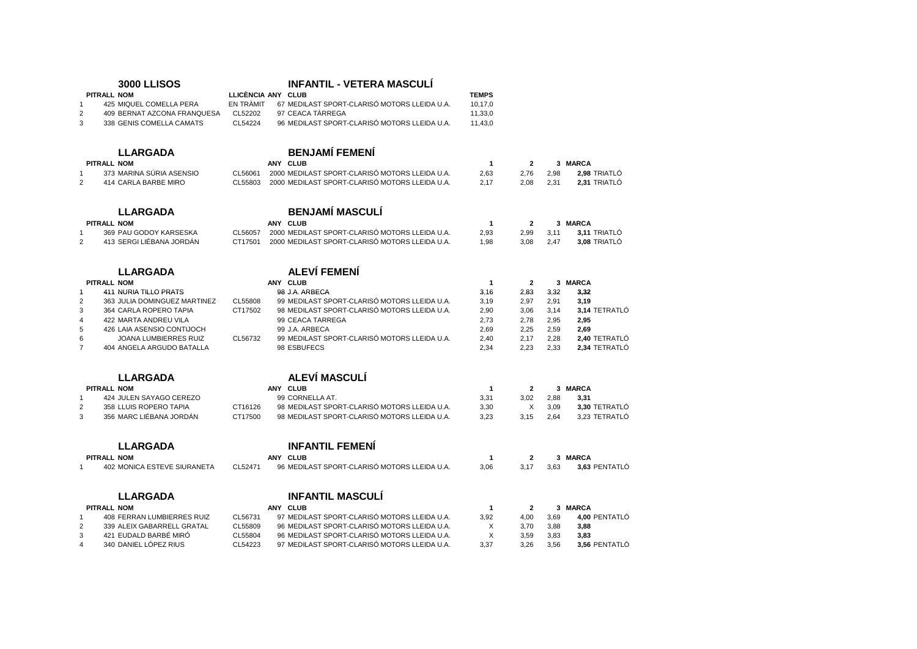| <b>3000 LLISOS</b>                                   |           | <b>INFANTIL - VETERA MASCULÍ</b>               |                |                |      |               |
|------------------------------------------------------|-----------|------------------------------------------------|----------------|----------------|------|---------------|
| <b>PITRALL NOM</b>                                   |           | LLICÈNCIA ANY CLUB                             | <b>TEMPS</b>   |                |      |               |
| 425 MIQUEL COMELLA PERA<br>$\overline{1}$            | EN TRÀMIT | 67 MEDILAST SPORT-CLARISÓ MOTORS LLEIDA U.A.   | 10,17,0        |                |      |               |
| $\overline{2}$<br>409 BERNAT AZCONA FRANQUESA        | CL52202   | 97 CEACA TÀRREGA                               | 11,33,0        |                |      |               |
| 3<br>338 GENIS COMELLA CAMATS                        | CL54224   | 96 MEDILAST SPORT-CLARISÓ MOTORS LLEIDA U.A.   | 11,43,0        |                |      |               |
| <b>LLARGADA</b>                                      |           | <b>BENJAMÍ FEMENÍ</b>                          |                |                |      |               |
| PITRALL NOM                                          |           | ANY CLUB                                       | $\mathbf{1}$   | $\overline{2}$ |      | 3 MARCA       |
| 373 MARINA SURIA ASENSIO<br>$\mathbf{1}$             | CL56061   | 2000 MEDILAST SPORT-CLARISÓ MOTORS LLEIDA U.A. | 2,63           | 2,76           | 2,98 | 2.98 TRIATLO  |
| 2<br>414 CARLA BARBE MIRO                            | CL55803   | 2000 MEDILAST SPORT-CLARISÓ MOTORS LLEIDA U.A. | 2,17           | 2,08           | 2,31 | 2,31 TRIATLÓ  |
| <b>LLARGADA</b>                                      |           | <b>BENJAMÍ MASCULÍ</b>                         |                |                |      |               |
| <b>PITRALL NOM</b>                                   |           | ANY CLUB                                       | -1             | $\overline{2}$ |      | 3 MARCA       |
| 369 PAU GODOY KARSESKA<br>$\mathbf{1}$               | CL56057   | 2000 MEDILAST SPORT-CLARISÓ MOTORS LLEIDA U.A. | 2,93           | 2,99           | 3,11 | 3,11 TRIATLÓ  |
| 2<br>413 SERGI LIÉBANA JORDÁN                        | CT17501   | 2000 MEDILAST SPORT-CLARISÓ MOTORS LLEIDA U.A. | 1,98           | 3.08           | 2.47 | 3,08 TRIATLÓ  |
| <b>LLARGADA</b>                                      |           | <b>ALEVÍ FEMENÍ</b>                            |                |                |      |               |
| PITRALL NOM                                          |           | ANY CLUB                                       | $\mathbf{1}$   | $\overline{2}$ |      | 3 MARCA       |
| $\overline{1}$<br><b>411 NURIA TILLO PRATS</b>       |           | 98 J.A. ARBECA                                 | 3.16           | 2,83           | 3,32 | 3,32          |
| $\overline{2}$<br>363 JULIA DOMINGUEZ MARTINEZ       | CL55808   | 99 MEDILAST SPORT-CLARISÓ MOTORS LLEIDA U.A.   | 3,19           | 2,97           | 2,91 | 3,19          |
| 3<br>364 CARLA ROPERO TAPIA                          | CT17502   | 98 MEDILAST SPORT-CLARISÓ MOTORS LLEIDA U.A.   | 2,90           | 3,06           | 3,14 | 3,14 TETRATLO |
| $\overline{4}$<br>422 MARTA ANDREU VILA              |           | 99 CEACA TARREGA                               | 2,73           | 2,78           | 2,95 | 2,95          |
| 5<br>426 LAIA ASENSIO CONTIJOCH                      |           | 99 J.A. ARBECA                                 | 2.69           | 2.25           | 2,59 | 2,69          |
| 6<br>JOANA LUMBIERRES RUIZ                           | CL56732   | 99 MEDILAST SPORT-CLARISÓ MOTORS LLEIDA U.A.   | 2,40           | 2,17           | 2,28 | 2,40 TETRATLÓ |
| $\overline{7}$<br>404 ANGELA ARGUDO BATALLA          |           | 98 ESBUFECS                                    | 2,34           | 2,23           | 2,33 | 2,34 TETRATLÓ |
| <b>LLARGADA</b>                                      |           | <b>ALEVÍ MASCULÍ</b>                           |                |                |      |               |
| PITRALL NOM                                          |           | ANY CLUB                                       | $\overline{1}$ | $\overline{2}$ |      | 3 MARCA       |
| 424 JULEN SAYAGO CEREZO<br>$\overline{1}$            |           | 99 CORNELLA AT.                                | 3,31           | 3,02           | 2,88 | 3,31          |
| 358 LLUIS ROPERO TAPIA<br>2                          | CT16126   | 98 MEDILAST SPORT-CLARISÓ MOTORS LLEIDA U.A.   | 3,30           | Χ              | 3,09 | 3,30 TETRATLÓ |
| 356 MARC LIÉBANA JORDÁN<br>3                         | CT17500   | 98 MEDILAST SPORT-CLARISÓ MOTORS LLEIDA U.A.   | 3,23           | 3,15           | 2,64 | 3,23 TETRATLÓ |
| <b>LLARGADA</b>                                      |           | <b>INFANTIL FEMENI</b>                         |                |                |      |               |
| <b>PITRALL NOM</b>                                   |           | ANY CLUB                                       | $\mathbf{1}$   | $\overline{2}$ |      | 3 MARCA       |
| $\overline{1}$<br><b>402 MONICA ESTEVE SIURANETA</b> | CL52471   | 96 MEDILAST SPORT-CLARISÓ MOTORS LLEIDA U.A.   | 3.06           | 3,17           | 3.63 | 3,63 PENTATLÓ |
| <b>LLARGADA</b>                                      |           | <b>INFANTIL MASCULI</b>                        |                |                |      |               |
| <b>PITRALL NOM</b>                                   |           | ANY CLUB                                       | $\mathbf 1$    | $\mathbf{2}$   |      | 3 MARCA       |
| <b>408 FERRAN LUMBIERRES RUIZ</b><br>$\overline{1}$  | CL56731   | 97 MEDILAST SPORT-CLARISÓ MOTORS LLEIDA U.A.   | 3.92           | 4,00           | 3,69 | 4,00 PENTATLÓ |
| 339 ALEIX GABARRELL GRATAL<br>$\overline{2}$         | CL55809   | 96 MEDILAST SPORT-CLARISÓ MOTORS LLEIDA U.A.   | Χ              | 3,70           | 3,88 | 3,88          |
| 421 EUDALD BARBÉ MIRÓ<br>3                           | CL55804   | 96 MEDILAST SPORT-CLARISÓ MOTORS LLEIDA U.A.   | X              | 3,59           | 3,83 | 3,83          |
| 340 DANIEL LÓPEZ RIUS<br>4                           | CL54223   | 97 MEDILAST SPORT-CLARISÓ MOTORS LLEIDA U.A.   | 3,37           | 3,26           | 3,56 | 3,56 PENTATLO |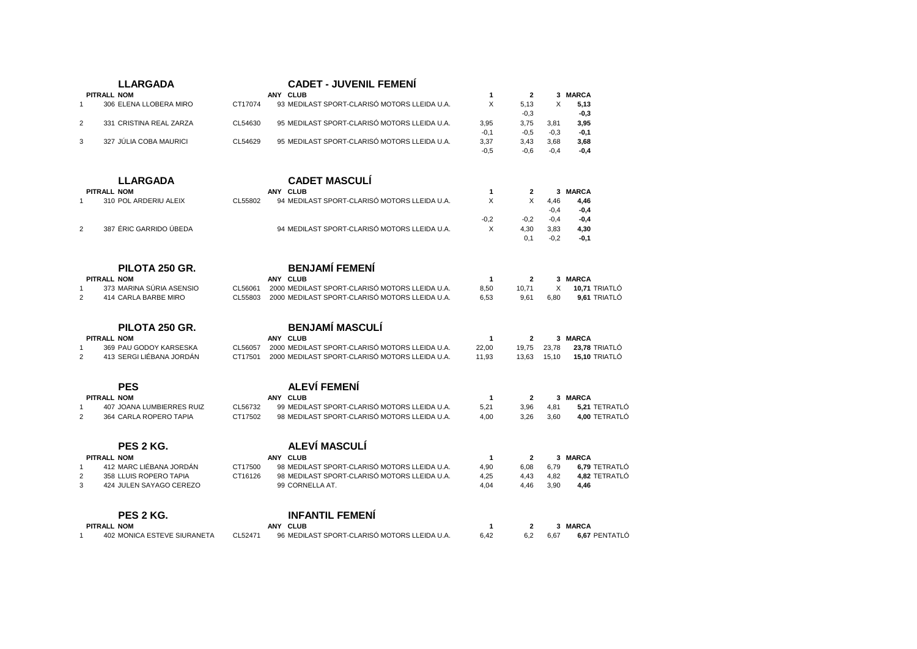|                | <b>LLARGADA</b>                                 |         | <b>CADET - JUVENIL FEMENI</b>                  |                                 |                |        |                          |
|----------------|-------------------------------------------------|---------|------------------------------------------------|---------------------------------|----------------|--------|--------------------------|
|                | <b>PITRALL NOM</b>                              |         | ANY CLUB                                       | $\mathbf 1$                     | $\overline{2}$ |        | 3 MARCA                  |
| $\overline{1}$ | 306 ELENA LLOBERA MIRO                          | CT17074 | 93 MEDILAST SPORT-CLARISÓ MOTORS LLEIDA U.A.   | X                               | 5.13           | X      | 5,13                     |
|                |                                                 |         |                                                |                                 | $-0,3$         |        | $-0,3$                   |
| $\overline{2}$ | 331 CRISTINA REAL ZARZA                         | CL54630 | 95 MEDILAST SPORT-CLARISÓ MOTORS LLEIDA U.A.   | 3,95                            | 3,75           | 3,81   | 3,95                     |
|                |                                                 |         |                                                | $-0,1$                          | $-0,5$         | $-0,3$ | $-0,1$                   |
| 3              | 327 JÚLIA COBA MAURICI                          | CL54629 | 95 MEDILAST SPORT-CLARISÓ MOTORS LLEIDA U.A.   | 3,37                            | 3,43           | 3,68   | 3,68                     |
|                |                                                 |         |                                                | $-0,5$                          | $-0.6$         | $-0.4$ | $-0,4$                   |
|                |                                                 |         |                                                |                                 |                |        |                          |
|                |                                                 |         |                                                |                                 |                |        |                          |
|                | <b>LLARGADA</b>                                 |         | <b>CADET MASCULÍ</b>                           |                                 |                |        |                          |
|                | <b>PITRALL NOM</b>                              |         | ANY CLUB                                       | $\mathbf{1}$                    | $\overline{2}$ |        | 3 MARCA                  |
| $\overline{1}$ | 310 POL ARDERIU ALEIX                           | CL55802 | 94 MEDILAST SPORT-CLARISÓ MOTORS LLEIDA U.A.   | X                               | X              | 4,46   | 4,46                     |
|                |                                                 |         |                                                |                                 |                | $-0,4$ | $-0,4$                   |
|                |                                                 |         |                                                | $-0,2$                          | $-0,2$         | $-0,4$ | $-0,4$                   |
| 2              | 387 ÉRIC GARRIDO ÚBEDA                          |         | 94 MEDILAST SPORT-CLARISÓ MOTORS LLEIDA U.A.   | X                               | 4,30           | 3,83   | 4,30                     |
|                |                                                 |         |                                                |                                 | 0.1            | $-0.2$ | $-0.1$                   |
|                |                                                 |         |                                                |                                 |                |        |                          |
|                | PILOTA 250 GR.                                  |         | <b>BENJAMÍ FEMENÍ</b>                          |                                 |                |        |                          |
|                |                                                 |         |                                                |                                 |                |        |                          |
|                | <b>PITRALL NOM</b>                              |         | ANY CLUB                                       | $\mathbf{1}$                    | $\overline{2}$ |        | 3 MARCA                  |
| $\overline{1}$ | 373 MARINA SÚRIA ASENSIO                        | CL56061 | 2000 MEDILAST SPORT-CLARISÓ MOTORS LLEIDA U.A. | 8,50                            | 10,71          | X      | 10,71 TRIATLÓ            |
| $\overline{2}$ | 414 CARLA BARBE MIRO                            | CL55803 | 2000 MEDILAST SPORT-CLARISÓ MOTORS LLEIDA U.A. | 6,53                            | 9,61           | 6.80   | 9,61 TRIATLÓ             |
|                |                                                 |         |                                                |                                 |                |        |                          |
|                | PILOTA 250 GR.                                  |         | <b>BENJAMÍ MASCULÍ</b>                         |                                 |                |        |                          |
|                | PITRALL NOM                                     |         | ANY CLUB                                       | 1                               | $\mathbf{2}$   |        | 3 MARCA                  |
| $\mathbf{1}$   | 369 PAU GODOY KARSESKA                          | CL56057 | 2000 MEDILAST SPORT-CLARISÓ MOTORS LLEIDA U.A. | 22,00                           | 19,75          | 23,78  | 23,78 TRIATLÓ            |
| $\overline{2}$ | 413 SERGI LIÉBANA JORDÁN                        | CT17501 | 2000 MEDILAST SPORT-CLARISÓ MOTORS LLEIDA U.A. | 11,93                           | 13,63          | 15,10  | 15,10 TRIATLÓ            |
|                |                                                 |         |                                                |                                 |                |        |                          |
|                | <b>PES</b>                                      |         | <b>ALEVÍ FEMENÍ</b>                            |                                 |                |        |                          |
|                |                                                 |         | ANY CLUB                                       |                                 |                |        |                          |
| $\overline{1}$ | <b>PITRALL NOM</b><br>407 JOANA LUMBIERRES RUIZ | CL56732 | 99 MEDILAST SPORT-CLARISÓ MOTORS LLEIDA U.A.   | $\overline{\mathbf{1}}$<br>5.21 | $\overline{2}$ |        | 3 MARCA<br>5.21 TETRATLÓ |
| $\overline{2}$ |                                                 | CT17502 | 98 MEDILAST SPORT-CLARISÓ MOTORS LLEIDA U.A.   |                                 | 3,96           | 4,81   | 4.00 TETRATLÓ            |
|                | 364 CARLA ROPERO TAPIA                          |         |                                                | 4.00                            | 3.26           | 3.60   |                          |
|                |                                                 |         |                                                |                                 |                |        |                          |
|                | PES 2 KG.                                       |         | ALEVÍ MASCULÍ                                  |                                 |                |        |                          |
|                | <b>PITRALL NOM</b>                              |         | ANY CLUB                                       | $\mathbf{1}$                    | $\overline{2}$ |        | 3 MARCA                  |
| $\overline{1}$ | 412 MARC LIÉBANA JORDÁN                         | CT17500 | 98 MEDILAST SPORT-CLARISÓ MOTORS LLEIDA U.A.   | 4,90                            | 6.08           | 6,79   | 6,79 TETRATLO            |
| $\overline{2}$ | 358 LLUIS ROPERO TAPIA                          | CT16126 | 98 MEDILAST SPORT-CLARISÓ MOTORS LLEIDA U.A.   | 4,25                            | 4,43           | 4,82   | 4,82 TETRATLÓ            |
| 3              | 424 JULEN SAYAGO CEREZO                         |         | 99 CORNELLA AT.                                | 4.04                            | 4.46           | 3.90   | 4,46                     |
|                |                                                 |         |                                                |                                 |                |        |                          |
|                | PES 2 KG.                                       |         | <b>INFANTIL FEMENÍ</b>                         |                                 |                |        |                          |
|                |                                                 |         |                                                |                                 |                |        |                          |
|                | <b>PITRALL NOM</b>                              |         | ANY CLUB                                       | $\mathbf 1$                     | 2              |        | 3 MARCA                  |
| $\mathbf{1}$   | <b>402 MONICA ESTEVE SIURANETA</b>              | CL52471 | 96 MEDILAST SPORT-CLARISÓ MOTORS LLEIDA U.A.   | 6.42                            | 6.2            | 6.67   | 6,67 PENTATLÓ            |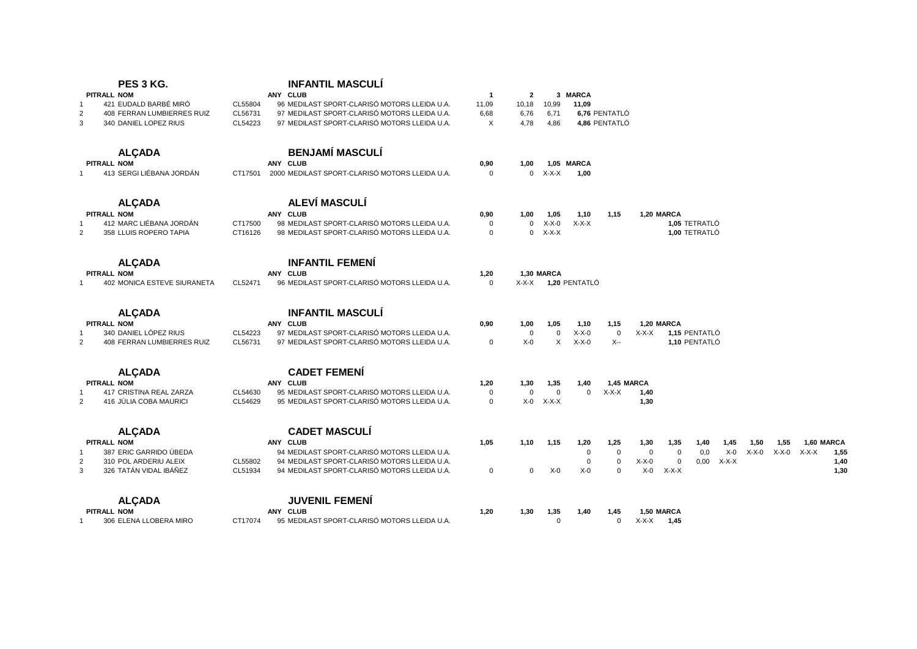|                    | PES 3 KG.                          |         | <b>INFANTIL MASCULÍ</b>                                |              |                |             |                     |               |             |             |               |         |      |             |            |      |
|--------------------|------------------------------------|---------|--------------------------------------------------------|--------------|----------------|-------------|---------------------|---------------|-------------|-------------|---------------|---------|------|-------------|------------|------|
| <b>PITRALL NOM</b> |                                    |         | ANY CLUB                                               | $\mathbf{1}$ | $\overline{2}$ |             | 3 MARCA             |               |             |             |               |         |      |             |            |      |
|                    | 421 EUDALD BARBÉ MIRÓ              | CL55804 | 96 MEDILAST SPORT-CLARISÓ MOTORS LLEIDA U.A.           | 11,09        | 10,18          | 10,99       | 11,09               |               |             |             |               |         |      |             |            |      |
| $\overline{2}$     | 408 FERRAN LUMBIERRES RUIZ         | CL56731 | 97 MEDILAST SPORT-CLARISÓ MOTORS LLEIDA U.A.           | 6,68         | 6,76           | 6,71        |                     | 6,76 PENTATLÓ |             |             |               |         |      |             |            |      |
| 3                  | 340 DANIEL LOPEZ RIUS              | CL54223 | 97 MEDILAST SPORT-CLARISÓ MOTORS LLEIDA U.A.           | X            | 4,78           | 4,86        |                     | 4,86 PENTATLÓ |             |             |               |         |      |             |            |      |
|                    | <b>ALÇADA</b>                      |         | <b>BENJAMÍ MASCULÍ</b>                                 |              |                |             |                     |               |             |             |               |         |      |             |            |      |
| <b>PITRALL NOM</b> |                                    |         | ANY CLUB                                               | 0,90         | 1.00           |             | 1,05 MARCA          |               |             |             |               |         |      |             |            |      |
|                    | 413 SERGI LIÉBANA JORDÁN           |         | CT17501 2000 MEDILAST SPORT-CLARISÓ MOTORS LLEIDA U.A. | $\mathbf 0$  | $\mathbf{0}$   | $X-X-X$     | 1.00                |               |             |             |               |         |      |             |            |      |
|                    | <b>ALCADA</b>                      |         | ALEVÍ MASCULÍ                                          |              |                |             |                     |               |             |             |               |         |      |             |            |      |
| <b>PITRALL NOM</b> |                                    |         | ANY CLUB                                               | 0,90         | 1,00           | 1,05        | 1,10                | 1,15          |             | 1,20 MARCA  |               |         |      |             |            |      |
|                    | 412 MARC LIÉBANA JORDÁN            | CT17500 | 98 MEDILAST SPORT-CLARISÓ MOTORS LLEIDA U.A.           | $\mathbf 0$  | $\mathbf 0$    | $X-X-0$     | $X-X-X$             |               |             |             | 1,05 TETRATLÓ |         |      |             |            |      |
| $\overline{2}$     | 358 LLUIS ROPERO TAPIA             | CT16126 | 98 MEDILAST SPORT-CLARISÓ MOTORS LLEIDA U.A.           | $\mathbf 0$  | 0              | $X-X-X$     |                     |               |             |             | 1,00 TETRATLÓ |         |      |             |            |      |
|                    | <b>ALCADA</b>                      |         | <b>INFANTIL FEMENÍ</b>                                 |              |                |             |                     |               |             |             |               |         |      |             |            |      |
| <b>PITRALL NOM</b> |                                    |         | ANY CLUB                                               | 1,20         |                | 1,30 MARCA  |                     |               |             |             |               |         |      |             |            |      |
| $\mathbf{1}$       | <b>402 MONICA ESTEVE SIURANETA</b> | CL52471 | 96 MEDILAST SPORT-CLARISÓ MOTORS LLEIDA U.A.           | $\mathbf 0$  |                |             | X-X-X 1,20 PENTATLÓ |               |             |             |               |         |      |             |            |      |
|                    | <b>ALCADA</b>                      |         | <b>INFANTIL MASCULÍ</b>                                |              |                |             |                     |               |             |             |               |         |      |             |            |      |
| <b>PITRALL NOM</b> |                                    |         | ANY CLUB                                               | 0,90         | 1,00           | 1,05        | 1,10                | 1,15          |             | 1,20 MARCA  |               |         |      |             |            |      |
|                    | 340 DANIEL LÓPEZ RIUS              | CL54223 | 97 MEDILAST SPORT-CLARISÓ MOTORS LLEIDA U.A.           |              | 0              | $\mathbf 0$ | $X-X-0$             | $\mathbf 0$   | X-X-X       |             | 1,15 PENTATLÓ |         |      |             |            |      |
| $\overline{2}$     | 408 FERRAN LUMBIERRES RUIZ         | CL56731 | 97 MEDILAST SPORT-CLARISÓ MOTORS LLEIDA U.A.           | 0            | $X-0$          | X           | $X-X-0$             | X--           |             |             | 1,10 PENTATLÓ |         |      |             |            |      |
|                    | <b>ALCADA</b>                      |         | <b>CADET FEMENÍ</b>                                    |              |                |             |                     |               |             |             |               |         |      |             |            |      |
| <b>PITRALL NOM</b> |                                    |         | ANY CLUB                                               | 1,20         | 1,30           | 1,35        | 1,40                | 1,45 MARCA    |             |             |               |         |      |             |            |      |
| $\mathbf{1}$       | 417 CRISTINA REAL ZARZA            | CL54630 | 95 MEDILAST SPORT-CLARISÓ MOTORS LLEIDA U.A.           | $\mathbf 0$  | $\mathbf 0$    | $\mathbf 0$ | $\mathbf 0$         | $X-X-X$       | 1,40        |             |               |         |      |             |            |      |
| 2                  | 416 JÚLIA COBA MAURICI             | CL54629 | 95 MEDILAST SPORT-CLARISÓ MOTORS LLEIDA U.A.           | $\mathbf 0$  | $X-0$          | $X-X-X$     |                     |               | 1,30        |             |               |         |      |             |            |      |
|                    | <b>ALCADA</b>                      |         | <b>CADET MASCULÍ</b>                                   |              |                |             |                     |               |             |             |               |         |      |             |            |      |
| <b>PITRALL NOM</b> |                                    |         | ANY CLUB                                               | 1,05         | 1,10           | 1,15        | 1,20                | 1,25          | 1,30        | 1,35        | 1,40          | 1,45    | 1,50 | 1,55        | 1,60 MARCA |      |
|                    | 387 ERIC GARRIDO ÚBEDA             |         | 94 MEDILAST SPORT-CLARISÓ MOTORS LLEIDA U.A.           |              |                |             | $\mathbf 0$         | $\mathbf 0$   | $\mathbf 0$ | $\mathbf 0$ | 0,0           | $X-0$   |      | X-X-0 X-X-0 | X-X-X      | 1,55 |
| $\overline{2}$     | 310 POL ARDERIU ALEIX              | CL55802 | 94 MEDILAST SPORT-CLARISÓ MOTORS LLEIDA U.A.           |              |                |             | $\mathbf 0$         | $\mathbf 0$   | $X-X-0$     | $\mathbf 0$ | 0,00          | $X-X-X$ |      |             |            | 1,40 |
| 3                  | 326 TATÁN VIDAL IBÁÑEZ             | CL51934 | 94 MEDILAST SPORT-CLARISÓ MOTORS LLEIDA U.A.           | 0            | $\mathbf 0$    | $X-0$       | $X-0$               | 0             | $X-0$       | $X-X-X$     |               |         |      |             |            | 1,30 |
|                    | <b>ALÇADA</b>                      |         | <b>JUVENIL FEMENÍ</b>                                  |              |                |             |                     |               |             |             |               |         |      |             |            |      |
| <b>PITRALL NOM</b> |                                    |         | ANY CLUB                                               | 1,20         | 1,30           | 1,35        | 1,40                | 1,45          |             | 1,50 MARCA  |               |         |      |             |            |      |
| $\mathbf{1}$       | 306 ELENA LLOBERA MIRO             | CT17074 | 95 MEDILAST SPORT-CLARISÓ MOTORS LLEIDA U.A.           |              |                | $\Omega$    |                     | $\Omega$      | X-X-X       | 1,45        |               |         |      |             |            |      |